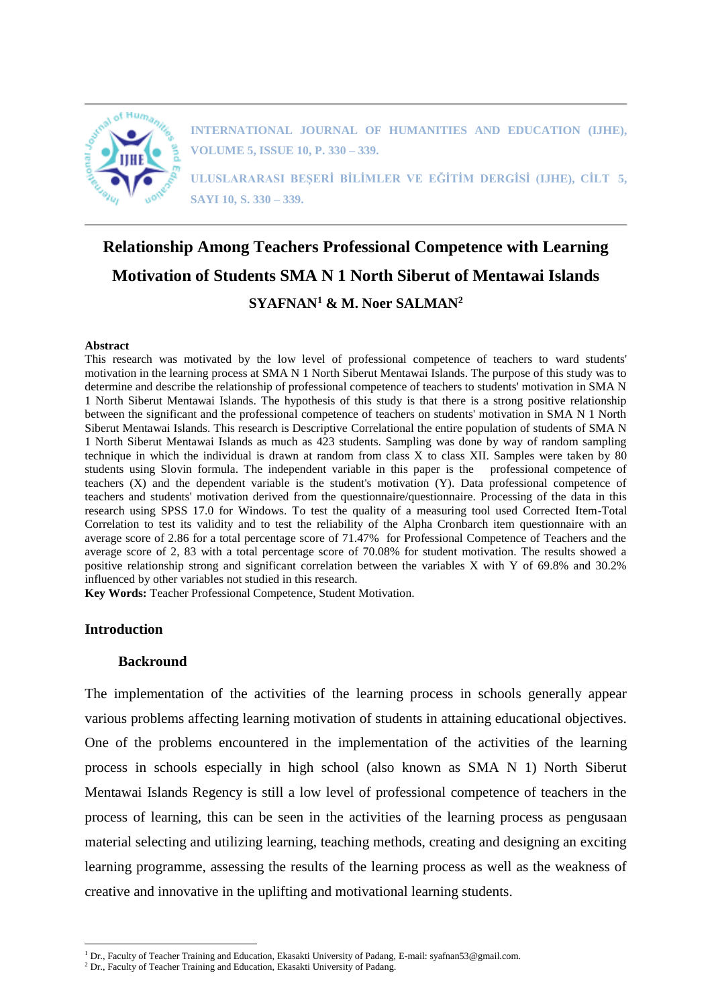

**INTERNATIONAL JOURNAL OF HUMANITIES AND EDUCATION (IJHE), VOLUME 5, ISSUE 10, P. 330 – 339.**

**ULUSLARARASI BEŞERİ BİLİMLER VE EĞİTİM DERGİSİ (IJHE), CİLT 5, SAYI 10, S. 330 – 339.**

# **Relationship Among Teachers Professional Competence with Learning Motivation of Students SMA N 1 North Siberut of Mentawai Islands SYAFNAN<sup>1</sup> & M. Noer SALMAN<sup>2</sup>**

#### **Abstract**

This research was motivated by the low level of professional competence of teachers to ward students' motivation in the learning process at SMA N 1 North Siberut Mentawai Islands. The purpose of this study was to determine and describe the relationship of professional competence of teachers to students' motivation in SMA N 1 North Siberut Mentawai Islands. The hypothesis of this study is that there is a strong positive relationship between the significant and the professional competence of teachers on students' motivation in SMA N 1 North Siberut Mentawai Islands. This research is Descriptive Correlational the entire population of students of SMA N 1 North Siberut Mentawai Islands as much as 423 students. Sampling was done by way of random sampling technique in which the individual is drawn at random from class X to class XII. Samples were taken by 80 students using Slovin formula. The independent variable in this paper is the professional competence of teachers (X) and the dependent variable is the student's motivation (Y). Data professional competence of teachers and students' motivation derived from the questionnaire/questionnaire. Processing of the data in this research using SPSS 17.0 for Windows. To test the quality of a measuring tool used Corrected Item-Total Correlation to test its validity and to test the reliability of the Alpha Cronbarch item questionnaire with an average score of 2.86 for a total percentage score of 71.47% for Professional Competence of Teachers and the average score of 2, 83 with a total percentage score of 70.08% for student motivation. The results showed a positive relationship strong and significant correlation between the variables X with Y of 69.8% and 30.2% influenced by other variables not studied in this research.

**Key Words:** Teacher Professional Competence, Student Motivation.

## **Introduction**

 $\overline{a}$ 

## **Backround**

The implementation of the activities of the learning process in schools generally appear various problems affecting learning motivation of students in attaining educational objectives. One of the problems encountered in the implementation of the activities of the learning process in schools especially in high school (also known as SMA N 1) North Siberut Mentawai Islands Regency is still a low level of professional competence of teachers in the process of learning, this can be seen in the activities of the learning process as pengusaan material selecting and utilizing learning, teaching methods, creating and designing an exciting learning programme, assessing the results of the learning process as well as the weakness of creative and innovative in the uplifting and motivational learning students.

<sup>1</sup> Dr., Faculty of Teacher Training and Education, Ekasakti University of Padang, E-mail: syafnan53@gmail.com.

<sup>&</sup>lt;sup>2</sup> Dr., Faculty of Teacher Training and Education, Ekasakti University of Padang.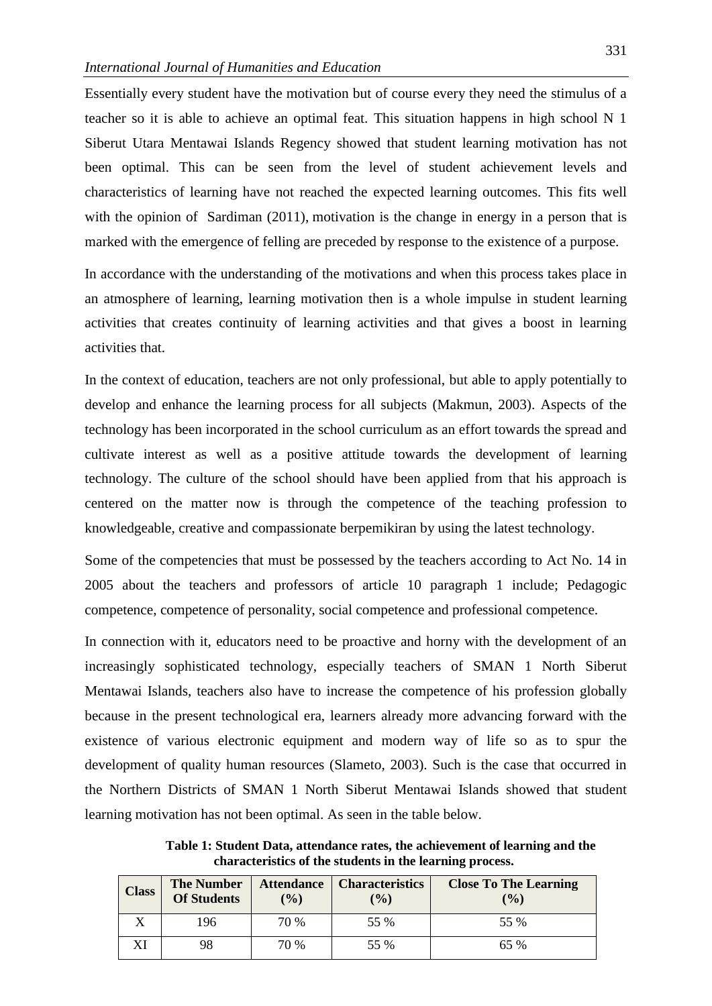Essentially every student have the motivation but of course every they need the stimulus of a teacher so it is able to achieve an optimal feat. This situation happens in high school N 1 Siberut Utara Mentawai Islands Regency showed that student learning motivation has not been optimal. This can be seen from the level of student achievement levels and characteristics of learning have not reached the expected learning outcomes. This fits well with the opinion of Sardiman (2011), motivation is the change in energy in a person that is marked with the emergence of felling are preceded by response to the existence of a purpose.

In accordance with the understanding of the motivations and when this process takes place in an atmosphere of learning, learning motivation then is a whole impulse in student learning activities that creates continuity of learning activities and that gives a boost in learning activities that.

In the context of education, teachers are not only professional, but able to apply potentially to develop and enhance the learning process for all subjects (Makmun, 2003). Aspects of the technology has been incorporated in the school curriculum as an effort towards the spread and cultivate interest as well as a positive attitude towards the development of learning technology. The culture of the school should have been applied from that his approach is centered on the matter now is through the competence of the teaching profession to knowledgeable, creative and compassionate berpemikiran by using the latest technology.

Some of the competencies that must be possessed by the teachers according to Act No. 14 in 2005 about the teachers and professors of article 10 paragraph 1 include; Pedagogic competence, competence of personality, social competence and professional competence.

In connection with it, educators need to be proactive and horny with the development of an increasingly sophisticated technology, especially teachers of SMAN 1 North Siberut Mentawai Islands, teachers also have to increase the competence of his profession globally because in the present technological era, learners already more advancing forward with the existence of various electronic equipment and modern way of life so as to spur the development of quality human resources (Slameto, 2003). Such is the case that occurred in the Northern Districts of SMAN 1 North Siberut Mentawai Islands showed that student learning motivation has not been optimal. As seen in the table below.

**Table 1: Student Data, attendance rates, the achievement of learning and the characteristics of the students in the learning process.**

| <b>Class</b> | <b>The Number</b><br><b>Of Students</b> | <b>Attendance</b><br>$\frac{9}{6}$ | <b>Characteristics</b><br>$\frac{9}{6}$ | <b>Close To The Learning</b><br>$($ %) |
|--------------|-----------------------------------------|------------------------------------|-----------------------------------------|----------------------------------------|
|              | 196                                     | 70 %                               | 55 %                                    | 55 %                                   |
|              | 98                                      | 70 %                               | 55 %                                    | 65 %                                   |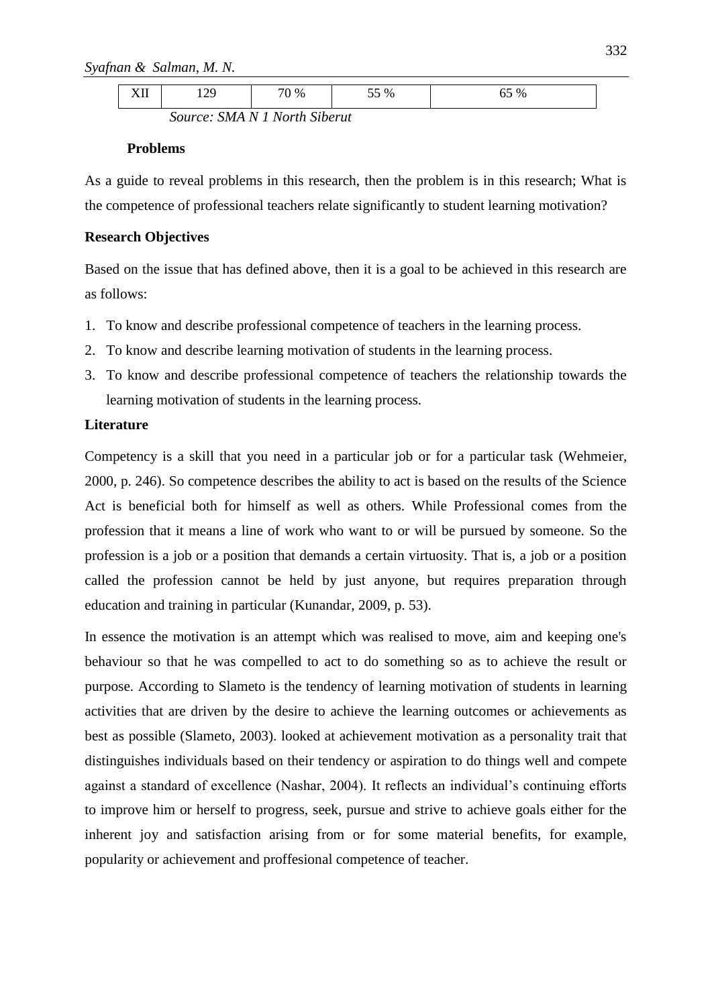|  | $- - - -$<br>---- | . . | 70 % | 0/<br>76<br>ັ | $\%$<br>ັບ |
|--|-------------------|-----|------|---------------|------------|
|--|-------------------|-----|------|---------------|------------|

*Source: SMA N 1 North Siberut* 

# **Problems**

As a guide to reveal problems in this research, then the problem is in this research; What is the competence of professional teachers relate significantly to student learning motivation?

# **Research Objectives**

Based on the issue that has defined above, then it is a goal to be achieved in this research are as follows:

- 1. To know and describe professional competence of teachers in the learning process.
- 2. To know and describe learning motivation of students in the learning process.
- 3. To know and describe professional competence of teachers the relationship towards the learning motivation of students in the learning process.

# **Literature**

Competency is a skill that you need in a particular job or for a particular task (Wehmeier, 2000, p. 246). So competence describes the ability to act is based on the results of the Science Act is beneficial both for himself as well as others. While Professional comes from the profession that it means a line of work who want to or will be pursued by someone. So the profession is a job or a position that demands a certain virtuosity. That is, a job or a position called the profession cannot be held by just anyone, but requires preparation through education and training in particular (Kunandar, 2009, p. 53).

In essence the motivation is an attempt which was realised to move, aim and keeping one's behaviour so that he was compelled to act to do something so as to achieve the result or purpose. According to Slameto is the tendency of learning motivation of students in learning activities that are driven by the desire to achieve the learning outcomes or achievements as best as possible (Slameto, 2003). looked at achievement motivation as a personality trait that distinguishes individuals based on their tendency or aspiration to do things well and compete against a standard of excellence (Nashar, 2004). It reflects an individual's continuing efforts to improve him or herself to progress, seek, pursue and strive to achieve goals either for the inherent joy and satisfaction arising from or for some material benefits, for example, popularity or achievement and proffesional competence of teacher.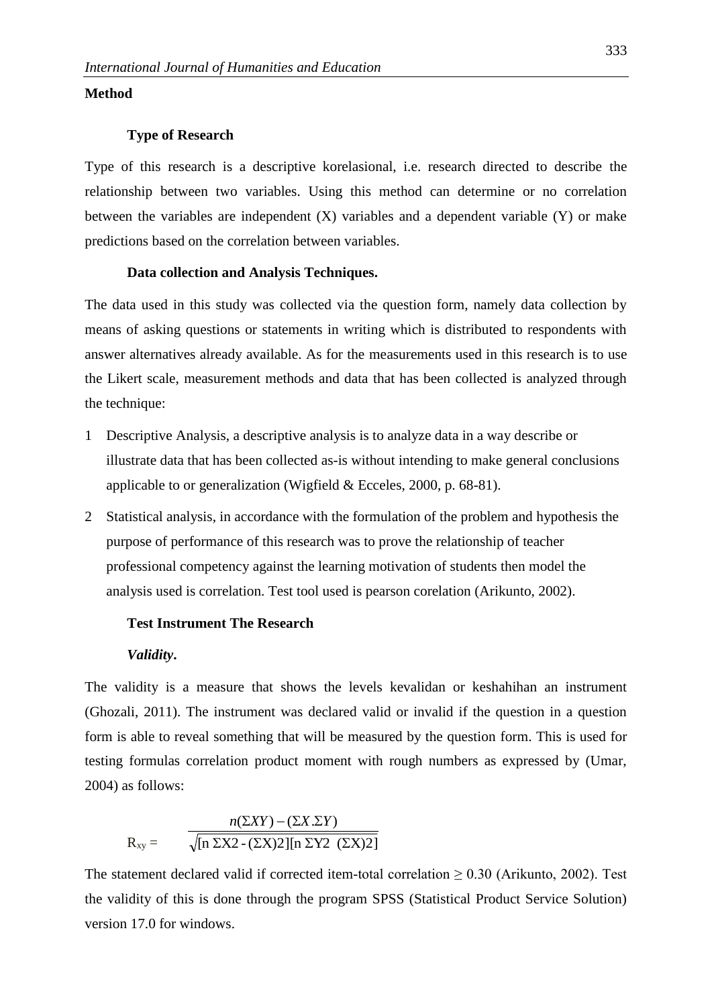# **Method**

#### **Type of Research**

Type of this research is a descriptive korelasional, i.e. research directed to describe the relationship between two variables. Using this method can determine or no correlation between the variables are independent  $(X)$  variables and a dependent variable  $(Y)$  or make predictions based on the correlation between variables.

## **Data collection and Analysis Techniques.**

The data used in this study was collected via the question form, namely data collection by means of asking questions or statements in writing which is distributed to respondents with answer alternatives already available. As for the measurements used in this research is to use the Likert scale, measurement methods and data that has been collected is analyzed through the technique:

- 1 Descriptive Analysis, a descriptive analysis is to analyze data in a way describe or illustrate data that has been collected as-is without intending to make general conclusions applicable to or generalization (Wigfield & Ecceles, 2000, p. 68-81).
- 2 Statistical analysis, in accordance with the formulation of the problem and hypothesis the purpose of performance of this research was to prove the relationship of teacher professional competency against the learning motivation of students then model the analysis used is correlation. Test tool used is pearson corelation (Arikunto, 2002).

# **Test Instrument The Research**

## *Validity***.**

The validity is a measure that shows the levels kevalidan or keshahihan an instrument (Ghozali, 2011). The instrument was declared valid or invalid if the question in a question form is able to reveal something that will be measured by the question form. This is used for testing formulas correlation product moment with rough numbers as expressed by (Umar, 2004) as follows:

$$
R_{xy} = \frac{n(\Sigma XY) - (\Sigma X . \Sigma Y)}{\sqrt{[n \Sigma X2 - (\Sigma X)2][n \Sigma Y2 (\Sigma X)2]}}
$$

The statement declared valid if corrected item-total correlation  $\geq 0.30$  (Arikunto, 2002). Test the validity of this is done through the program SPSS (Statistical Product Service Solution) version 17.0 for windows.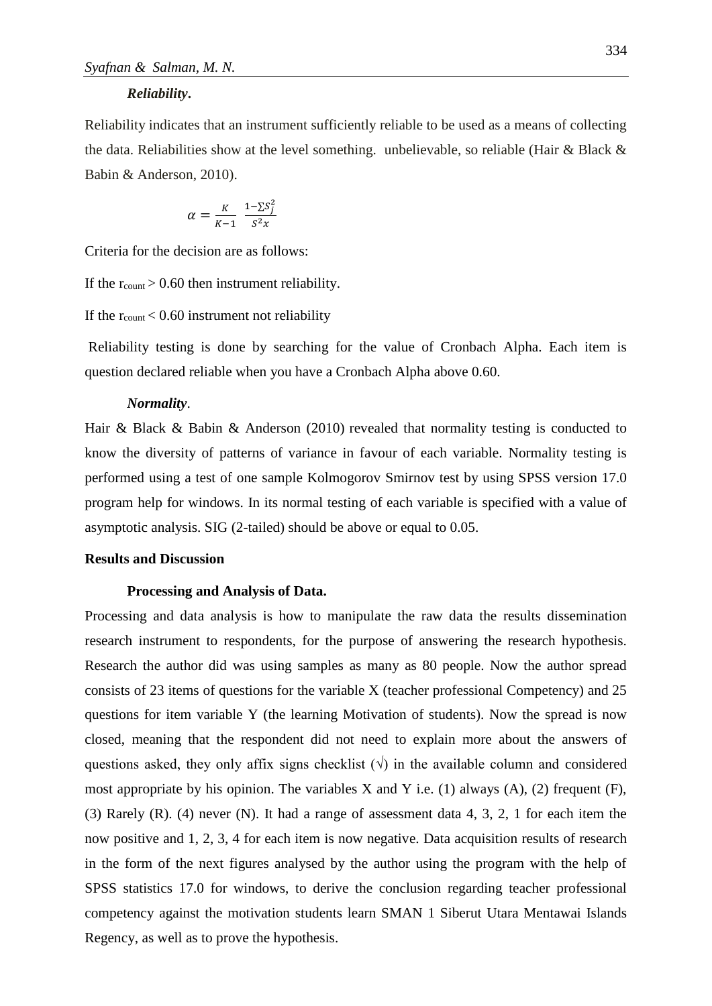#### *Reliability***.**

Reliability indicates that an instrument sufficiently reliable to be used as a means of collecting the data. Reliabilities show at the level something. unbelievable, so reliable (Hair & Black & Babin & Anderson, 2010).

$$
\alpha = \frac{K}{K-1} \frac{1 - \sum S_j^2}{S^2 x}
$$

Criteria for the decision are as follows:

If the  $r_{\text{count}} > 0.60$  then instrument reliability.

If the  $r_{\text{count}}$  < 0.60 instrument not reliability

Reliability testing is done by searching for the value of Cronbach Alpha. Each item is question declared reliable when you have a Cronbach Alpha above 0.60.

#### *Normality*.

Hair & Black & Babin & Anderson (2010) revealed that normality testing is conducted to know the diversity of patterns of variance in favour of each variable. Normality testing is performed using a test of one sample Kolmogorov Smirnov test by using SPSS version 17.0 program help for windows. In its normal testing of each variable is specified with a value of asymptotic analysis. SIG (2-tailed) should be above or equal to 0.05.

## **Results and Discussion**

## **Processing and Analysis of Data.**

Processing and data analysis is how to manipulate the raw data the results dissemination research instrument to respondents, for the purpose of answering the research hypothesis. Research the author did was using samples as many as 80 people. Now the author spread consists of 23 items of questions for the variable X (teacher professional Competency) and 25 questions for item variable Y (the learning Motivation of students). Now the spread is now closed, meaning that the respondent did not need to explain more about the answers of questions asked, they only affix signs checklist  $(\sqrt{})$  in the available column and considered most appropriate by his opinion. The variables  $X$  and  $Y$  i.e. (1) always (A), (2) frequent (F), (3) Rarely (R). (4) never (N). It had a range of assessment data 4, 3, 2, 1 for each item the now positive and 1, 2, 3, 4 for each item is now negative. Data acquisition results of research in the form of the next figures analysed by the author using the program with the help of SPSS statistics 17.0 for windows, to derive the conclusion regarding teacher professional competency against the motivation students learn SMAN 1 Siberut Utara Mentawai Islands Regency, as well as to prove the hypothesis.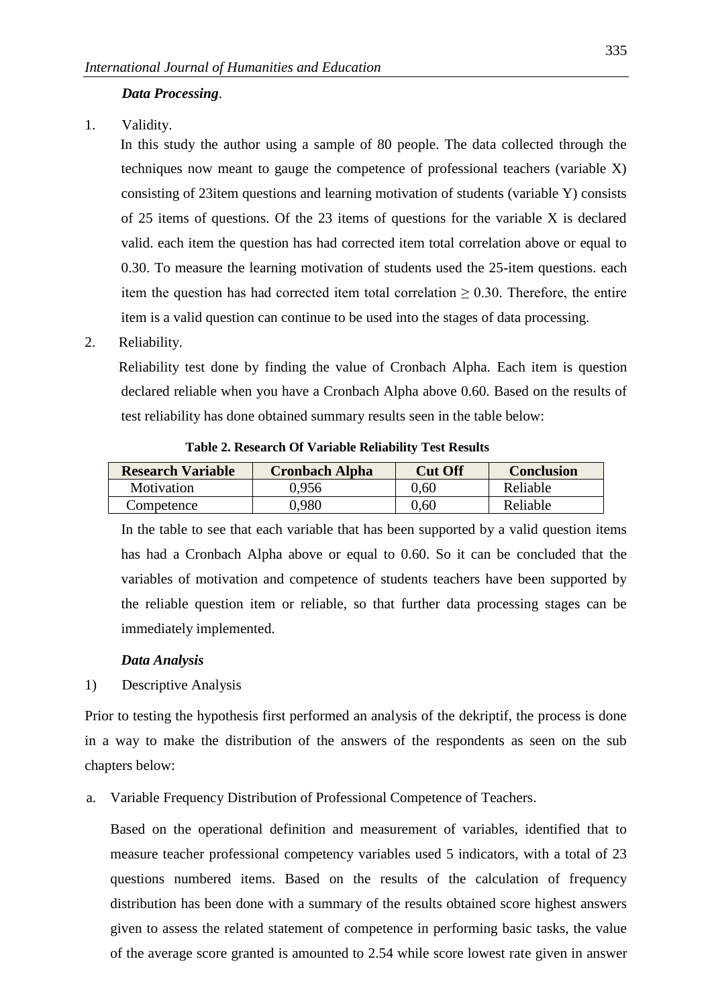# *Data Processing*.

1. Validity.

In this study the author using a sample of 80 people. The data collected through the techniques now meant to gauge the competence of professional teachers (variable X) consisting of 23item questions and learning motivation of students (variable Y) consists of 25 items of questions. Of the 23 items of questions for the variable X is declared valid. each item the question has had corrected item total correlation above or equal to 0.30. To measure the learning motivation of students used the 25-item questions. each item the question has had corrected item total correlation  $\geq 0.30$ . Therefore, the entire item is a valid question can continue to be used into the stages of data processing.

2. Reliability.

Reliability test done by finding the value of Cronbach Alpha. Each item is question declared reliable when you have a Cronbach Alpha above 0.60. Based on the results of test reliability has done obtained summary results seen in the table below:

| <b>Research Variable</b> | <b>Cronbach Alpha</b> | <b>Cut Off</b> | <b>Conclusion</b> |
|--------------------------|-----------------------|----------------|-------------------|
| Motivation               | 0.956                 | 0.60           | Reliable          |
| Competence               | 0.980                 | $0.60^{\circ}$ | Reliable          |

**Table 2. Research Of Variable Reliability Test Results**

In the table to see that each variable that has been supported by a valid question items has had a Cronbach Alpha above or equal to 0.60. So it can be concluded that the variables of motivation and competence of students teachers have been supported by the reliable question item or reliable, so that further data processing stages can be immediately implemented.

## *Data Analysis*

1) Descriptive Analysis

Prior to testing the hypothesis first performed an analysis of the dekriptif, the process is done in a way to make the distribution of the answers of the respondents as seen on the sub chapters below:

a. Variable Frequency Distribution of Professional Competence of Teachers.

Based on the operational definition and measurement of variables, identified that to measure teacher professional competency variables used 5 indicators, with a total of 23 questions numbered items. Based on the results of the calculation of frequency distribution has been done with a summary of the results obtained score highest answers given to assess the related statement of competence in performing basic tasks, the value of the average score granted is amounted to 2.54 while score lowest rate given in answer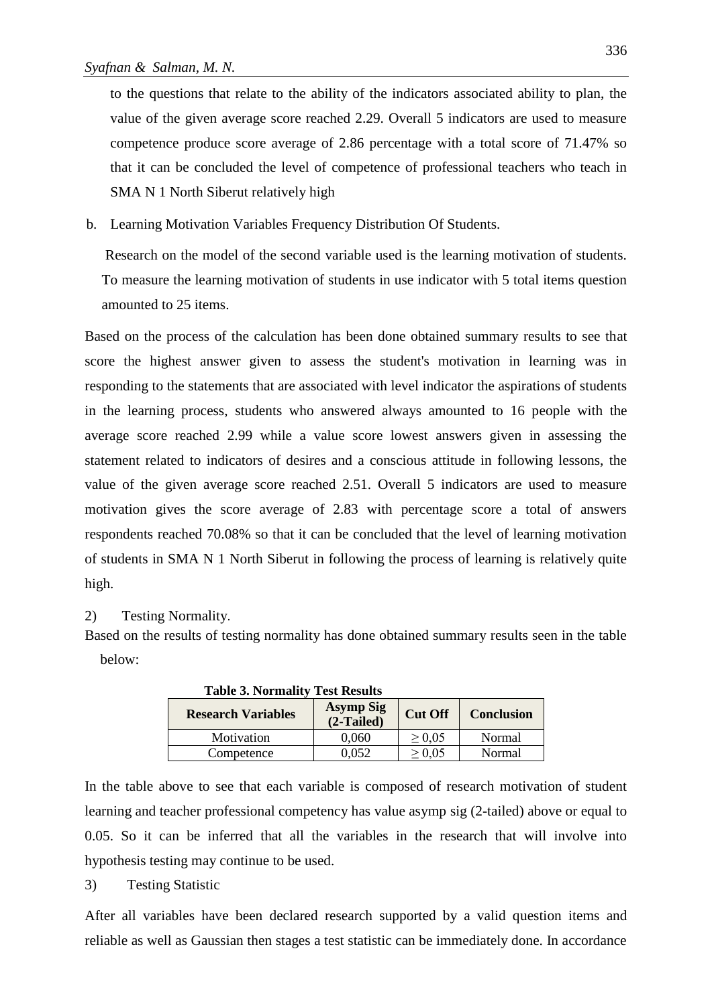to the questions that relate to the ability of the indicators associated ability to plan, the value of the given average score reached 2.29. Overall 5 indicators are used to measure competence produce score average of 2.86 percentage with a total score of 71.47% so that it can be concluded the level of competence of professional teachers who teach in SMA N 1 North Siberut relatively high

b. Learning Motivation Variables Frequency Distribution Of Students.

Research on the model of the second variable used is the learning motivation of students. To measure the learning motivation of students in use indicator with 5 total items question amounted to 25 items.

Based on the process of the calculation has been done obtained summary results to see that score the highest answer given to assess the student's motivation in learning was in responding to the statements that are associated with level indicator the aspirations of students in the learning process, students who answered always amounted to 16 people with the average score reached 2.99 while a value score lowest answers given in assessing the statement related to indicators of desires and a conscious attitude in following lessons, the value of the given average score reached 2.51. Overall 5 indicators are used to measure motivation gives the score average of 2.83 with percentage score a total of answers respondents reached 70.08% so that it can be concluded that the level of learning motivation of students in SMA N 1 North Siberut in following the process of learning is relatively quite high.

## 2) Testing Normality.

Based on the results of testing normality has done obtained summary results seen in the table below:

| <b>Table 3. Normality Test Results</b> |                                  |                |                   |
|----------------------------------------|----------------------------------|----------------|-------------------|
| <b>Research Variables</b>              | <b>Asymp Sig</b><br>$(2-Tailed)$ | <b>Cut Off</b> | <b>Conclusion</b> |
| Motivation                             | 0.060                            | $\geq 0.05$    | Normal            |
| Competence                             | 0.052                            | $\geq 0.05$    | Normal            |

In the table above to see that each variable is composed of research motivation of student learning and teacher professional competency has value asymp sig (2-tailed) above or equal to 0.05. So it can be inferred that all the variables in the research that will involve into hypothesis testing may continue to be used.

#### 3) Testing Statistic

After all variables have been declared research supported by a valid question items and reliable as well as Gaussian then stages a test statistic can be immediately done. In accordance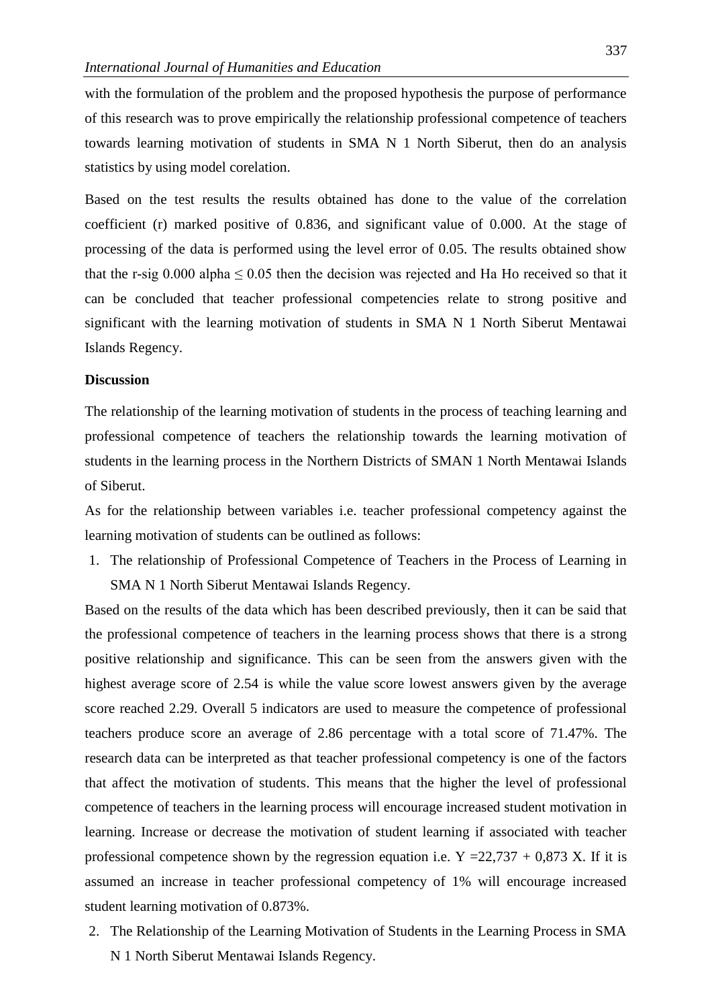with the formulation of the problem and the proposed hypothesis the purpose of performance of this research was to prove empirically the relationship professional competence of teachers towards learning motivation of students in SMA N 1 North Siberut, then do an analysis statistics by using model corelation.

Based on the test results the results obtained has done to the value of the correlation coefficient (r) marked positive of 0.836, and significant value of 0.000. At the stage of processing of the data is performed using the level error of 0.05. The results obtained show that the r-sig 0.000 alpha  $\leq 0.05$  then the decision was rejected and Ha Ho received so that it can be concluded that teacher professional competencies relate to strong positive and significant with the learning motivation of students in SMA N 1 North Siberut Mentawai Islands Regency.

## **Discussion**

The relationship of the learning motivation of students in the process of teaching learning and professional competence of teachers the relationship towards the learning motivation of students in the learning process in the Northern Districts of SMAN 1 North Mentawai Islands of Siberut.

As for the relationship between variables i.e. teacher professional competency against the learning motivation of students can be outlined as follows:

1. The relationship of Professional Competence of Teachers in the Process of Learning in SMA N 1 North Siberut Mentawai Islands Regency.

Based on the results of the data which has been described previously, then it can be said that the professional competence of teachers in the learning process shows that there is a strong positive relationship and significance. This can be seen from the answers given with the highest average score of 2.54 is while the value score lowest answers given by the average score reached 2.29. Overall 5 indicators are used to measure the competence of professional teachers produce score an average of 2.86 percentage with a total score of 71.47%. The research data can be interpreted as that teacher professional competency is one of the factors that affect the motivation of students. This means that the higher the level of professional competence of teachers in the learning process will encourage increased student motivation in learning. Increase or decrease the motivation of student learning if associated with teacher professional competence shown by the regression equation i.e.  $Y = 22,737 + 0,873 X$ . If it is assumed an increase in teacher professional competency of 1% will encourage increased student learning motivation of 0.873%.

2. The Relationship of the Learning Motivation of Students in the Learning Process in SMA N 1 North Siberut Mentawai Islands Regency.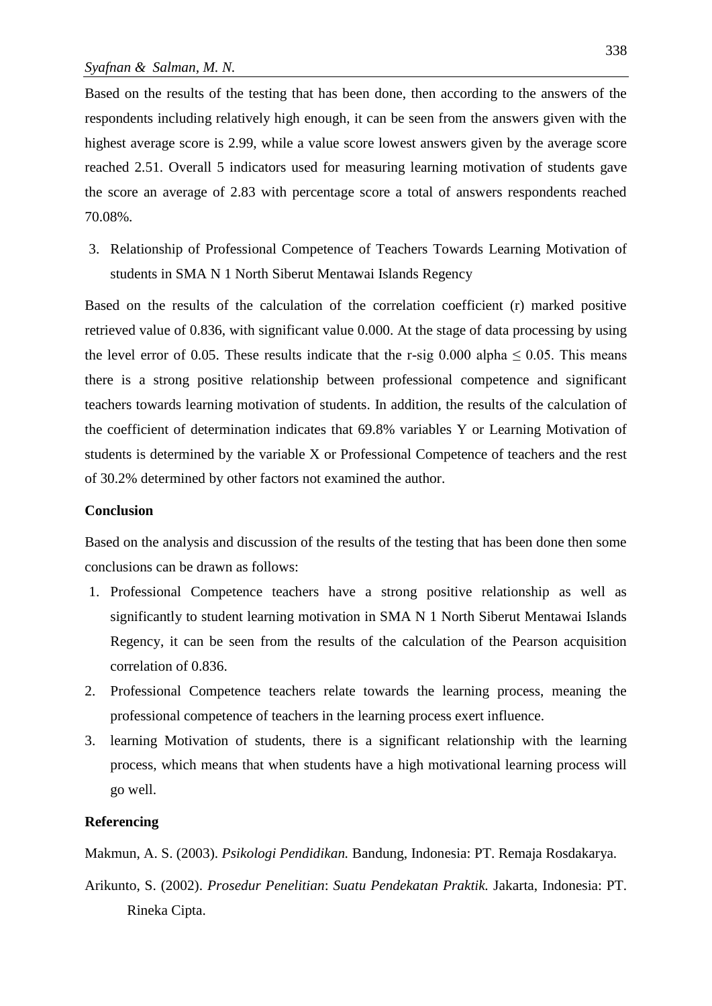Based on the results of the testing that has been done, then according to the answers of the respondents including relatively high enough, it can be seen from the answers given with the highest average score is 2.99, while a value score lowest answers given by the average score reached 2.51. Overall 5 indicators used for measuring learning motivation of students gave the score an average of 2.83 with percentage score a total of answers respondents reached 70.08%.

3. Relationship of Professional Competence of Teachers Towards Learning Motivation of students in SMA N 1 North Siberut Mentawai Islands Regency

Based on the results of the calculation of the correlation coefficient (r) marked positive retrieved value of 0.836, with significant value 0.000. At the stage of data processing by using the level error of 0.05. These results indicate that the r-sig 0.000 alpha  $\leq$  0.05. This means there is a strong positive relationship between professional competence and significant teachers towards learning motivation of students. In addition, the results of the calculation of the coefficient of determination indicates that 69.8% variables Y or Learning Motivation of students is determined by the variable X or Professional Competence of teachers and the rest of 30.2% determined by other factors not examined the author.

## **Conclusion**

Based on the analysis and discussion of the results of the testing that has been done then some conclusions can be drawn as follows:

- 1. Professional Competence teachers have a strong positive relationship as well as significantly to student learning motivation in SMA N 1 North Siberut Mentawai Islands Regency, it can be seen from the results of the calculation of the Pearson acquisition correlation of 0.836.
- 2. Professional Competence teachers relate towards the learning process, meaning the professional competence of teachers in the learning process exert influence.
- 3. learning Motivation of students, there is a significant relationship with the learning process, which means that when students have a high motivational learning process will go well.

# **Referencing**

Makmun, A. S. (2003). *Psikologi Pendidikan.* Bandung, Indonesia: PT. Remaja Rosdakarya.

Arikunto, S. (2002). *Prosedur Penelitian*: *Suatu Pendekatan Praktik.* Jakarta, Indonesia: PT. Rineka Cipta.